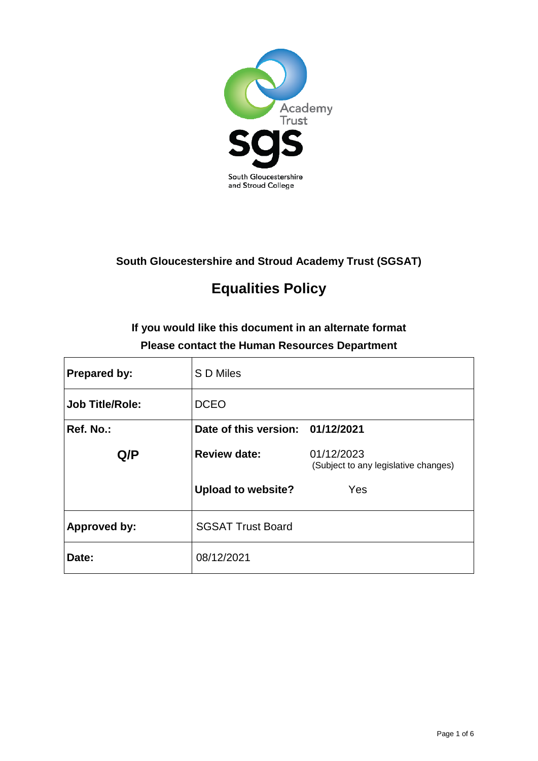

### **South Gloucestershire and Stroud Academy Trust (SGSAT)**

# **Equalities Policy**

## **If you would like this document in an alternate format Please contact the Human Resources Department**

| <b>Prepared by:</b> | S D Miles                        |                                                    |
|---------------------|----------------------------------|----------------------------------------------------|
| Job Title/Role:     | <b>DCEO</b>                      |                                                    |
| Ref. No.:           | Date of this version: 01/12/2021 |                                                    |
| Q/P                 | <b>Review date:</b>              | 01/12/2023<br>(Subject to any legislative changes) |
|                     | <b>Upload to website?</b>        | Yes                                                |
| <b>Approved by:</b> | <b>SGSAT Trust Board</b>         |                                                    |
| Date:               | 08/12/2021                       |                                                    |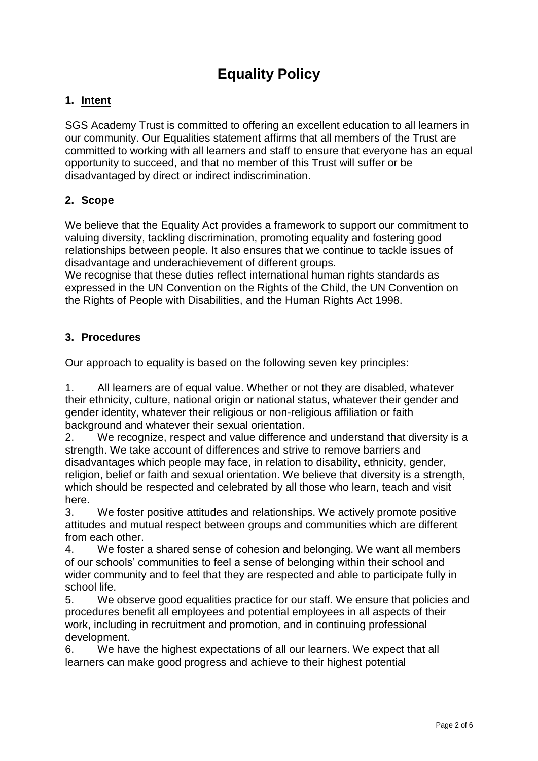## **Equality Policy**

### **1. Intent**

SGS Academy Trust is committed to offering an excellent education to all learners in our community. Our Equalities statement affirms that all members of the Trust are committed to working with all learners and staff to ensure that everyone has an equal opportunity to succeed, and that no member of this Trust will suffer or be disadvantaged by direct or indirect indiscrimination.

### **2. Scope**

We believe that the Equality Act provides a framework to support our commitment to valuing diversity, tackling discrimination, promoting equality and fostering good relationships between people. It also ensures that we continue to tackle issues of disadvantage and underachievement of different groups.

We recognise that these duties reflect international human rights standards as expressed in the UN Convention on the Rights of the Child, the UN Convention on the Rights of People with Disabilities, and the Human Rights Act 1998.

### **3. Procedures**

Our approach to equality is based on the following seven key principles:

1. All learners are of equal value. Whether or not they are disabled, whatever their ethnicity, culture, national origin or national status, whatever their gender and gender identity, whatever their religious or non-religious affiliation or faith background and whatever their sexual orientation.

2. We recognize, respect and value difference and understand that diversity is a strength. We take account of differences and strive to remove barriers and disadvantages which people may face, in relation to disability, ethnicity, gender, religion, belief or faith and sexual orientation. We believe that diversity is a strength, which should be respected and celebrated by all those who learn, teach and visit here.

3. We foster positive attitudes and relationships. We actively promote positive attitudes and mutual respect between groups and communities which are different from each other.

4. We foster a shared sense of cohesion and belonging. We want all members of our schools' communities to feel a sense of belonging within their school and wider community and to feel that they are respected and able to participate fully in school life.

5. We observe good equalities practice for our staff. We ensure that policies and procedures benefit all employees and potential employees in all aspects of their work, including in recruitment and promotion, and in continuing professional development.

6. We have the highest expectations of all our learners. We expect that all learners can make good progress and achieve to their highest potential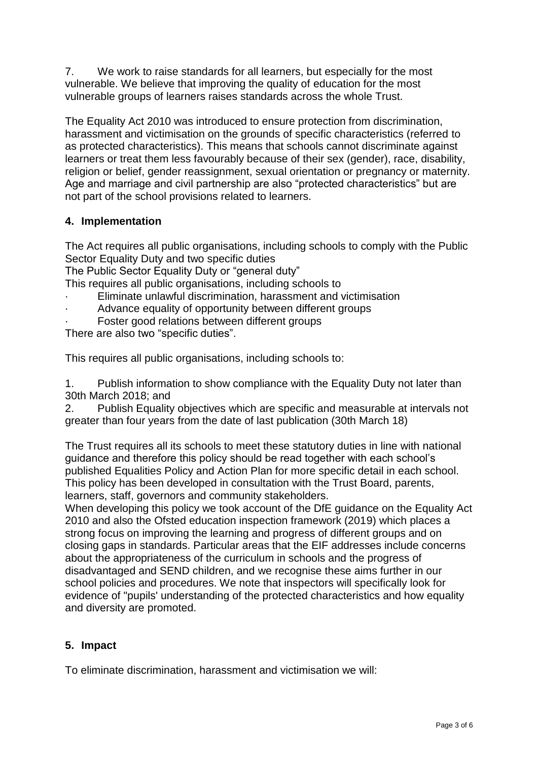7. We work to raise standards for all learners, but especially for the most vulnerable. We believe that improving the quality of education for the most vulnerable groups of learners raises standards across the whole Trust.

The Equality Act 2010 was introduced to ensure protection from discrimination, harassment and victimisation on the grounds of specific characteristics (referred to as protected characteristics). This means that schools cannot discriminate against learners or treat them less favourably because of their sex (gender), race, disability, religion or belief, gender reassignment, sexual orientation or pregnancy or maternity. Age and marriage and civil partnership are also "protected characteristics" but are not part of the school provisions related to learners.

### **4. Implementation**

The Act requires all public organisations, including schools to comply with the Public Sector Equality Duty and two specific duties

The Public Sector Equality Duty or "general duty"

This requires all public organisations, including schools to

- Eliminate unlawful discrimination, harassment and victimisation
- Advance equality of opportunity between different groups
- Foster good relations between different groups

There are also two "specific duties".

This requires all public organisations, including schools to:

1. Publish information to show compliance with the Equality Duty not later than 30th March 2018; and

2. Publish Equality objectives which are specific and measurable at intervals not greater than four years from the date of last publication (30th March 18)

The Trust requires all its schools to meet these statutory duties in line with national guidance and therefore this policy should be read together with each school's published Equalities Policy and Action Plan for more specific detail in each school. This policy has been developed in consultation with the Trust Board, parents, learners, staff, governors and community stakeholders.

When developing this policy we took account of the DfE guidance on the Equality Act 2010 and also the Ofsted education inspection framework (2019) which places a strong focus on improving the learning and progress of different groups and on closing gaps in standards. Particular areas that the EIF addresses include concerns about the appropriateness of the curriculum in schools and the progress of disadvantaged and SEND children, and we recognise these aims further in our school policies and procedures. We note that inspectors will specifically look for evidence of "pupils' understanding of the protected characteristics and how equality and diversity are promoted.

### **5. Impact**

To eliminate discrimination, harassment and victimisation we will: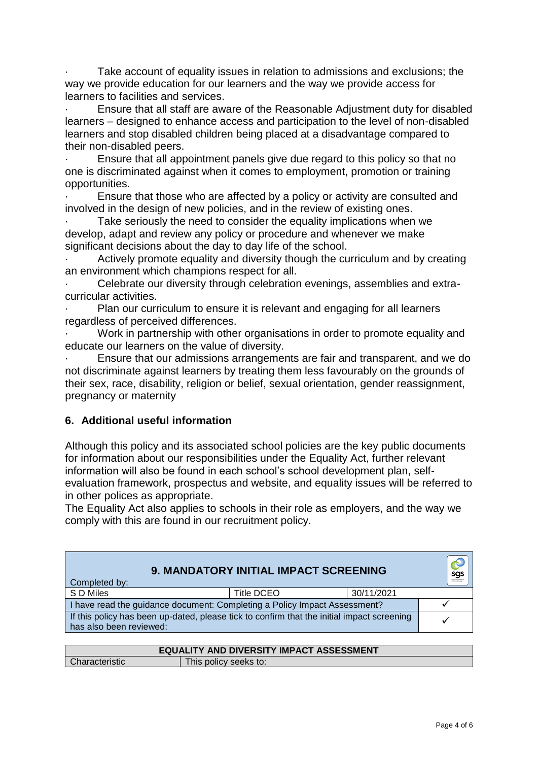Take account of equality issues in relation to admissions and exclusions; the way we provide education for our learners and the way we provide access for learners to facilities and services.

· Ensure that all staff are aware of the Reasonable Adjustment duty for disabled learners – designed to enhance access and participation to the level of non-disabled learners and stop disabled children being placed at a disadvantage compared to their non-disabled peers.

Ensure that all appointment panels give due regard to this policy so that no one is discriminated against when it comes to employment, promotion or training opportunities.

Ensure that those who are affected by a policy or activity are consulted and involved in the design of new policies, and in the review of existing ones.

Take seriously the need to consider the equality implications when we develop, adapt and review any policy or procedure and whenever we make significant decisions about the day to day life of the school.

Actively promote equality and diversity though the curriculum and by creating an environment which champions respect for all.

· Celebrate our diversity through celebration evenings, assemblies and extracurricular activities.

Plan our curriculum to ensure it is relevant and engaging for all learners regardless of perceived differences.

· Work in partnership with other organisations in order to promote equality and educate our learners on the value of diversity.

· Ensure that our admissions arrangements are fair and transparent, and we do not discriminate against learners by treating them less favourably on the grounds of their sex, race, disability, religion or belief, sexual orientation, gender reassignment, pregnancy or maternity

### **6. Additional useful information**

Although this policy and its associated school policies are the key public documents for information about our responsibilities under the Equality Act, further relevant information will also be found in each school's school development plan, selfevaluation framework, prospectus and website, and equality issues will be referred to in other polices as appropriate.

The Equality Act also applies to schools in their role as employers, and the way we comply with this are found in our recruitment policy.

| <b>9. MANDATORY INITIAL IMPACT SCREENING</b><br>Completed by:                                                         |            |            | sgs |
|-----------------------------------------------------------------------------------------------------------------------|------------|------------|-----|
| S D Miles                                                                                                             | Title DCEO | 30/11/2021 |     |
| I have read the guidance document: Completing a Policy Impact Assessment?                                             |            |            |     |
| If this policy has been up-dated, please tick to confirm that the initial impact screening<br>has also been reviewed: |            |            |     |

| <b>EQUALITY AND DIVERSITY IMPACT ASSESSMENT</b> |                       |  |
|-------------------------------------------------|-----------------------|--|
| Characteristic                                  | This policy seeks to: |  |
|                                                 |                       |  |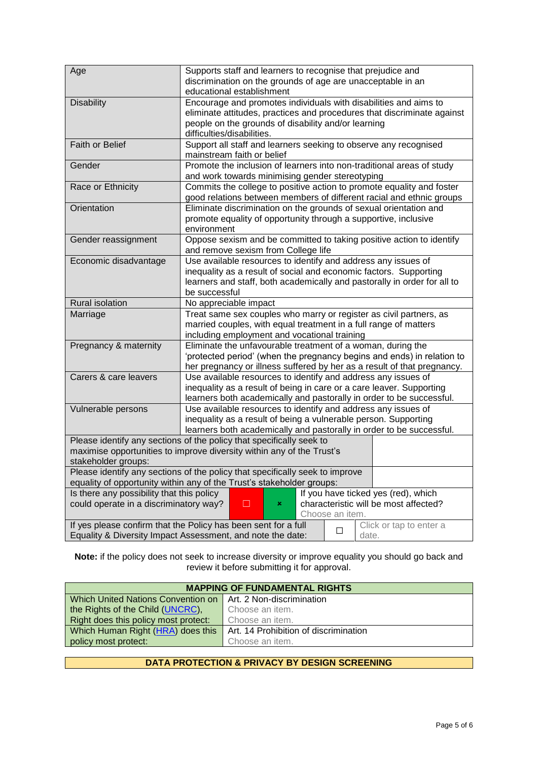| Age                                       | Supports staff and learners to recognise that prejudice and                                         |
|-------------------------------------------|-----------------------------------------------------------------------------------------------------|
|                                           | discrimination on the grounds of age are unacceptable in an                                         |
|                                           | educational establishment                                                                           |
| <b>Disability</b>                         | Encourage and promotes individuals with disabilities and aims to                                    |
|                                           | eliminate attitudes, practices and procedures that discriminate against                             |
|                                           | people on the grounds of disability and/or learning                                                 |
|                                           | difficulties/disabilities.                                                                          |
| Faith or Belief                           | Support all staff and learners seeking to observe any recognised                                    |
|                                           | mainstream faith or belief                                                                          |
| Gender                                    | Promote the inclusion of learners into non-traditional areas of study                               |
|                                           | and work towards minimising gender stereotyping                                                     |
| Race or Ethnicity                         | Commits the college to positive action to promote equality and foster                               |
|                                           | good relations between members of different racial and ethnic groups                                |
| Orientation                               | Eliminate discrimination on the grounds of sexual orientation and                                   |
|                                           | promote equality of opportunity through a supportive, inclusive                                     |
|                                           | environment                                                                                         |
| Gender reassignment                       | Oppose sexism and be committed to taking positive action to identify                                |
|                                           | and remove sexism from College life                                                                 |
| Economic disadvantage                     | Use available resources to identify and address any issues of                                       |
|                                           | inequality as a result of social and economic factors. Supporting                                   |
|                                           | learners and staff, both academically and pastorally in order for all to                            |
|                                           | be successful                                                                                       |
| Rural isolation                           | No appreciable impact                                                                               |
| Marriage                                  | Treat same sex couples who marry or register as civil partners, as                                  |
|                                           | married couples, with equal treatment in a full range of matters                                    |
|                                           | including employment and vocational training                                                        |
| Pregnancy & maternity                     | Eliminate the unfavourable treatment of a woman, during the                                         |
|                                           | 'protected period' (when the pregnancy begins and ends) in relation to                              |
|                                           | her pregnancy or illness suffered by her as a result of that pregnancy.                             |
| Carers & care leavers                     | Use available resources to identify and address any issues of                                       |
|                                           | inequality as a result of being in care or a care leaver. Supporting                                |
|                                           | learners both academically and pastorally in order to be successful.                                |
| Vulnerable persons                        | Use available resources to identify and address any issues of                                       |
|                                           | inequality as a result of being a vulnerable person. Supporting                                     |
|                                           | learners both academically and pastorally in order to be successful.                                |
|                                           | Please identify any sections of the policy that specifically seek to                                |
|                                           | maximise opportunities to improve diversity within any of the Trust's                               |
| stakeholder groups:                       |                                                                                                     |
|                                           | Please identify any sections of the policy that specifically seek to improve                        |
|                                           | equality of opportunity within any of the Trust's stakeholder groups:                               |
| Is there any possibility that this policy | If you have ticked yes (red), which                                                                 |
| could operate in a discriminatory way?    | characteristic will be most affected?<br>□<br>×                                                     |
|                                           | Choose an item.                                                                                     |
|                                           | If yes please confirm that the Policy has been sent for a full<br>Click or tap to enter a<br>$\Box$ |
|                                           | Equality & Diversity Impact Assessment, and note the date:<br>date.                                 |

**Note:** if the policy does not seek to increase diversity or improve equality you should go back and review it before submitting it for approval.

| <b>MAPPING OF FUNDAMENTAL RIGHTS</b> |                                       |  |  |
|--------------------------------------|---------------------------------------|--|--|
| Which United Nations Convention on   | Art. 2 Non-discrimination             |  |  |
| the Rights of the Child (UNCRC),     | Choose an item.                       |  |  |
| Right does this policy most protect: | Choose an item.                       |  |  |
| Which Human Right (HRA) does this    | Art. 14 Prohibition of discrimination |  |  |
| policy most protect:                 | Choose an item.                       |  |  |
|                                      |                                       |  |  |

#### **DATA PROTECTION & PRIVACY BY DESIGN SCREENING**